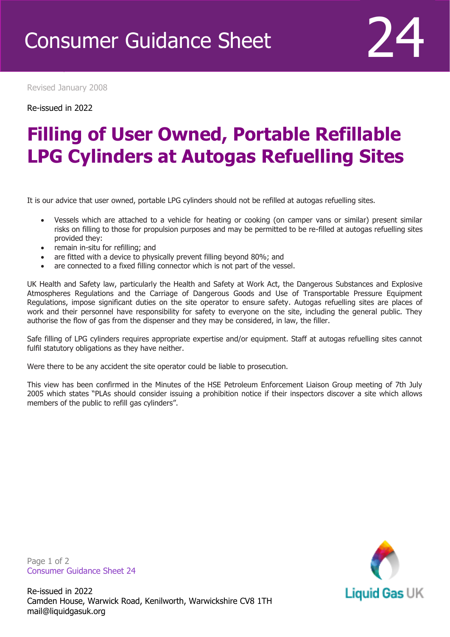Revised January 2008

Re-issued in 2022

Revised April 2016

## **Filling of User Owned, Portable Refillable LPG Cylinders at Autogas Refuelling Sites**

It is our advice that user owned, portable LPG cylinders should not be refilled at autogas refuelling sites.

- Vessels which are attached to a vehicle for heating or cooking (on camper vans or similar) present similar risks on filling to those for propulsion purposes and may be permitted to be re-filled at autogas refuelling sites provided they:
- remain in-situ for refilling; and
- are fitted with a device to physically prevent filling beyond 80%; and
- are connected to a fixed filling connector which is not part of the vessel.

UK Health and Safety law, particularly the Health and Safety at Work Act, the Dangerous Substances and Explosive Atmospheres Regulations and the Carriage of Dangerous Goods and Use of Transportable Pressure Equipment Regulations, impose significant duties on the site operator to ensure safety. Autogas refuelling sites are places of work and their personnel have responsibility for safety to everyone on the site, including the general public. They authorise the flow of gas from the dispenser and they may be considered, in law, the filler.

Safe filling of LPG cylinders requires appropriate expertise and/or equipment. Staff at autogas refuelling sites cannot fulfil statutory obligations as they have neither.

Were there to be any accident the site operator could be liable to prosecution.

This view has been confirmed in the Minutes of the HSE Petroleum Enforcement Liaison Group meeting of 7th July 2005 which states "PLAs should consider issuing a prohibition notice if their inspectors discover a site which allows members of the public to refill gas cylinders".

Liquid Gas UK

Page 1 of 2 Consumer Guidance Sheet 24